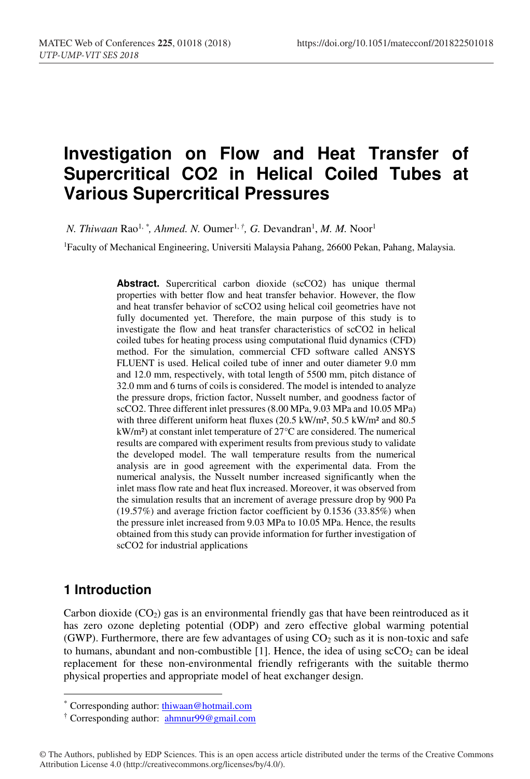# **Investigation on Flow and Heat Transfer of Supercritical CO2 in Helical Coiled Tubes at Various Supercritical Pressures**

*N. Thiwaan* Rao<sup>1, \*</sup>, *Ahmed. N.* Oumer<sup>1, †</sup>, *G.* Devandran<sup>1</sup>, *M. M.* Noor<sup>1</sup>

1Faculty of Mechanical Engineering, Universiti Malaysia Pahang, 26600 Pekan, Pahang, Malaysia.

Abstract. Supercritical carbon dioxide (scCO2) has unique thermal properties with better flow and heat transfer behavior. However, the flow and heat transfer behavior of scCO2 using helical coil geometries have not fully documented yet. Therefore, the main purpose of this study is to investigate the flow and heat transfer characteristics of scCO2 in helical coiled tubes for heating process using computational fluid dynamics (CFD) method. For the simulation, commercial CFD software called ANSYS FLUENT is used. Helical coiled tube of inner and outer diameter 9.0 mm and 12.0 mm, respectively, with total length of 5500 mm, pitch distance of 32.0 mm and 6 turns of coils is considered. The model is intended to analyze the pressure drops, friction factor, Nusselt number, and goodness factor of scCO2. Three different inlet pressures (8.00 MPa, 9.03 MPa and 10.05 MPa) with three different uniform heat fluxes (20.5 kW/m², 50.5 kW/m² and 80.5 kW/m²) at constant inlet temperature of 27°C are considered. The numerical results are compared with experiment results from previous study to validate the developed model. The wall temperature results from the numerical analysis are in good agreement with the experimental data. From the numerical analysis, the Nusselt number increased significantly when the inlet mass flow rate and heat flux increased. Moreover, it was observed from the simulation results that an increment of average pressure drop by 900 Pa (19.57%) and average friction factor coefficient by 0.1536 (33.85%) when the pressure inlet increased from 9.03 MPa to 10.05 MPa. Hence, the results obtained from this study can provide information for further investigation of scCO2 for industrial applications

### **1 Introduction**

Carbon dioxide  $(CO<sub>2</sub>)$  gas is an environmental friendly gas that have been reintroduced as it has zero ozone depleting potential (ODP) and zero effective global warming potential (GWP). Furthermore, there are few advantages of using  $CO<sub>2</sub>$  such as it is non-toxic and safe to humans, abundant and non-combustible  $[1]$ . Hence, the idea of using  $\text{scCO}_2$  can be ideal replacement for these non-environmental friendly refrigerants with the suitable thermo physical properties and appropriate model of heat exchanger design.

 <sup>\*</sup> Corresponding author: thiwaan@hotmail.com

<sup>&</sup>lt;sup>†</sup> Corresponding author: **ahmnur99@gmail.com** 

<sup>©</sup> The Authors, published by EDP Sciences. This is an open access article distributed under the terms of the Creative Commons Attribution License 4.0 (http://creativecommons.org/licenses/by/4.0/).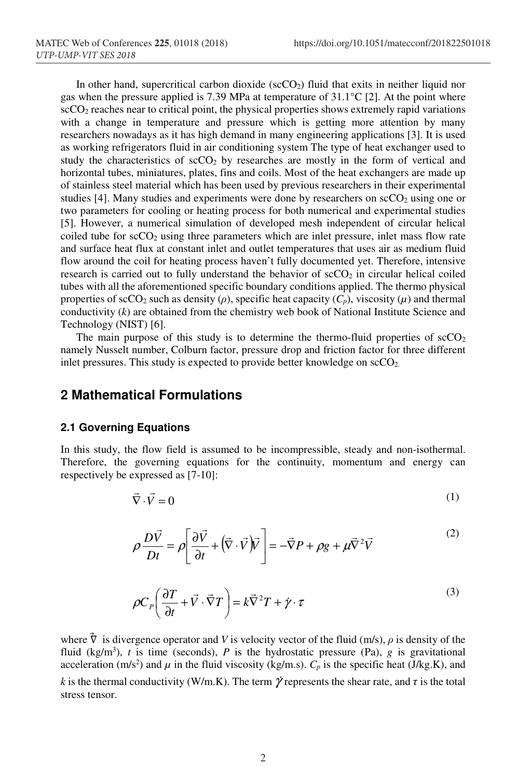In other hand, supercritical carbon dioxide ( $\rm{scCO_2}$ ) fluid that exits in neither liquid nor gas when the pressure applied is 7.39 MPa at temperature of 31.1°C [2]. At the point where  $\rm{scCO}_{2}$  reaches near to critical point, the physical properties shows extremely rapid variations with a change in temperature and pressure which is getting more attention by many researchers nowadays as it has high demand in many engineering applications [3]. It is used as working refrigerators fluid in air conditioning system The type of heat exchanger used to study the characteristics of  $\sec O_2$  by researches are mostly in the form of vertical and horizontal tubes, miniatures, plates, fins and coils. Most of the heat exchangers are made up of stainless steel material which has been used by previous researchers in their experimental studies [4]. Many studies and experiments were done by researchers on  $\sec O_2$  using one or two parameters for cooling or heating process for both numerical and experimental studies [5]. However, a numerical simulation of developed mesh independent of circular helical coiled tube for  $\rm{scCO_2}$  using three parameters which are inlet pressure, inlet mass flow rate and surface heat flux at constant inlet and outlet temperatures that uses air as medium fluid flow around the coil for heating process haven't fully documented yet. Therefore, intensive research is carried out to fully understand the behavior of  $\rm{scCO<sub>2</sub>}$  in circular helical coiled tubes with all the aforementioned specific boundary conditions applied. The thermo physical properties of scCO<sub>2</sub> such as density ( $\rho$ ), specific heat capacity ( $C_p$ ), viscosity ( $\mu$ ) and thermal conductivity (*k*) are obtained from the chemistry web book of National Institute Science and Technology (NIST) [6].

The main purpose of this study is to determine the thermo-fluid properties of  $\text{scCO}_2$ namely Nusselt number, Colburn factor, pressure drop and friction factor for three different inlet pressures. This study is expected to provide better knowledge on  $\text{scCO}_2$ .

### **2 Mathematical Formulations**

### **2.1 Governing Equations**

In this study, the flow field is assumed to be incompressible, steady and non-isothermal. Therefore, the governing equations for the continuity, momentum and energy can respectively be expressed as [7-10]:

$$
\vec{\nabla} \cdot \vec{V} = 0 \tag{1}
$$

$$
\rho \frac{D\vec{V}}{Dt} = \rho \left[ \frac{\partial \vec{V}}{\partial t} + (\vec{\nabla} \cdot \vec{V})\vec{V} \right] = -\vec{\nabla}P + \rho g + \mu \vec{\nabla}^2 \vec{V}
$$
\n(2)

$$
\rho C_P \left( \frac{\partial T}{\partial t} + \vec{V} \cdot \vec{\nabla} T \right) = k \vec{\nabla}^2 T + \dot{\gamma} \cdot \tau
$$
\n(3)

where  $\nabla$  is divergence operator and *V* is velocity vector of the fluid (m/s),  $\rho$  is density of the fluid (kg/m<sup>3</sup>), *t* is time (seconds), *P* is the hydrostatic pressure (Pa), *g* is gravitational acceleration (m/s<sup>2</sup>) and  $\mu$  in the fluid viscosity (kg/m.s).  $C_p$  is the specific heat (J/kg.K), and *k* is the thermal conductivity (W/m.K). The term  $\dot{\gamma}$  represents the shear rate, and  $\tau$  is the total stress tensor.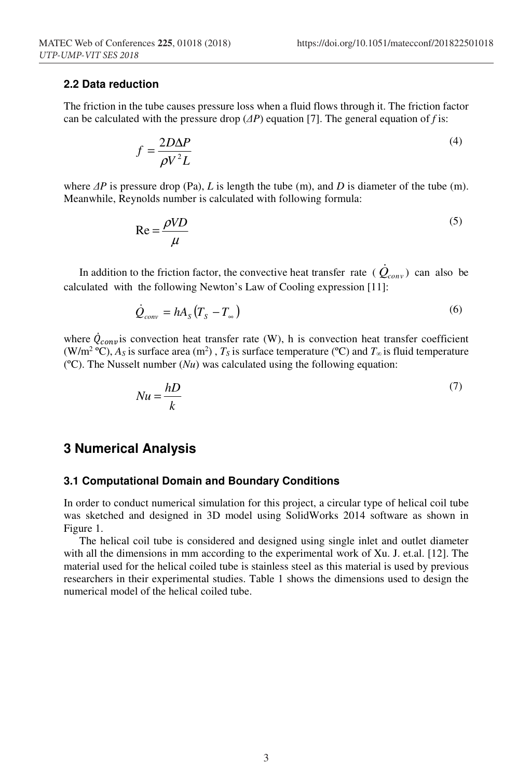### **2.2 Data reduction**

The friction in the tube causes pressure loss when a fluid flows through it. The friction factor can be calculated with the pressure drop  $(\Delta P)$  equation [7]. The general equation of *f* is:

$$
f = \frac{2D\Delta P}{\rho V^2 L} \tag{4}
$$

where *∆P* is pressure drop (Pa), *L* is length the tube (m), and *D* is diameter of the tube (m). Meanwhile, Reynolds number is calculated with following formula:

$$
Re = \frac{\rho V D}{\mu}
$$
 (5)

In addition to the friction factor, the convective heat transfer rate ( $\dot{Q}_{conv}$ ) can also be calculated with the following Newton's Law of Cooling expression [11]:

$$
\dot{Q}_{conv} = hA_s (T_s - T_\infty) \tag{6}
$$

where  $Q_{conv}$  is convection heat transfer rate (W), h is convection heat transfer coefficient (W/m<sup>2</sup> °C),  $A_s$  is surface area (m<sup>2</sup>),  $T_s$  is surface temperature (°C) and  $T_\infty$  is fluid temperature (ºC). The Nusselt number (*Nu*) was calculated using the following equation:

$$
Nu = \frac{hD}{k} \tag{7}
$$

### **3 Numerical Analysis**

#### **3.1 Computational Domain and Boundary Conditions**

In order to conduct numerical simulation for this project, a circular type of helical coil tube was sketched and designed in 3D model using SolidWorks 2014 software as shown in Figure 1.

The helical coil tube is considered and designed using single inlet and outlet diameter with all the dimensions in mm according to the experimental work of Xu. J. et.al. [12]. The material used for the helical coiled tube is stainless steel as this material is used by previous researchers in their experimental studies. Table 1 shows the dimensions used to design the numerical model of the helical coiled tube.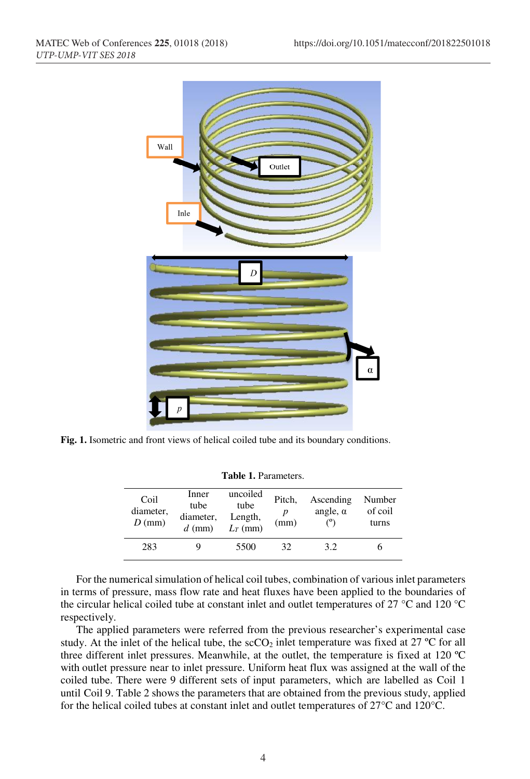

**Fig. 1.** Isometric and front views of helical coiled tube and its boundary conditions.

| <b>Table 1. Parameters.</b> |  |
|-----------------------------|--|
|                             |  |

| Coil<br>diameter,<br>$D$ (mm) | Inner<br>tube<br>diameter,<br>$d$ (mm) | uncoiled<br>tube<br>Length,<br>$L_T$ (mm) | Pitch,<br>D<br>(mm) | Ascending<br>angle, $\alpha$ | Number<br>of coil<br>turns |
|-------------------------------|----------------------------------------|-------------------------------------------|---------------------|------------------------------|----------------------------|
| 283                           |                                        | 5500                                      | 32                  | 3.2                          |                            |

For the numerical simulation of helical coil tubes, combination of various inlet parameters in terms of pressure, mass flow rate and heat fluxes have been applied to the boundaries of the circular helical coiled tube at constant inlet and outlet temperatures of 27 °C and 120 °C respectively.

The applied parameters were referred from the previous researcher's experimental case study. At the inlet of the helical tube, the  $\rm{scCO_2}$  inlet temperature was fixed at 27 °C for all three different inlet pressures. Meanwhile, at the outlet, the temperature is fixed at 120 ºC with outlet pressure near to inlet pressure. Uniform heat flux was assigned at the wall of the coiled tube. There were 9 different sets of input parameters, which are labelled as Coil 1 until Coil 9. Table 2 shows the parameters that are obtained from the previous study, applied for the helical coiled tubes at constant inlet and outlet temperatures of 27°C and 120°C.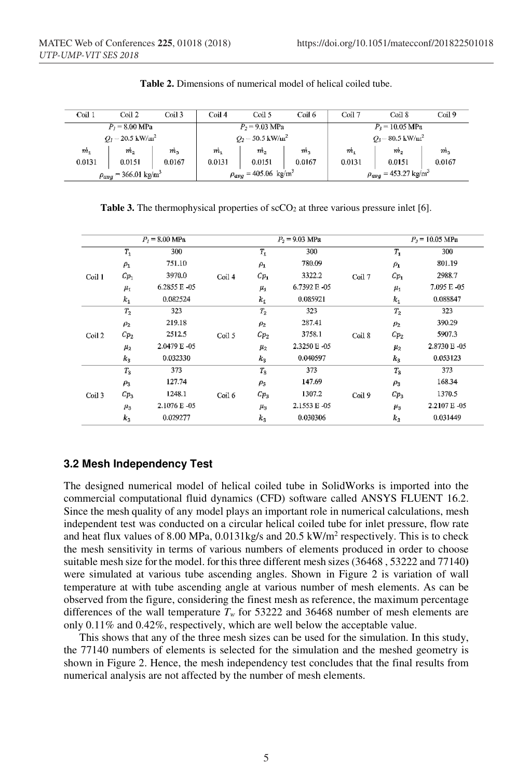| Coil 1                                  | Coil 2      | Coil 3                                  | Coil 4                                        | Coil 5         | Coil 6                               | Coil 7                    | $\operatorname{Coul} 8$ | Coil 9         |
|-----------------------------------------|-------------|-----------------------------------------|-----------------------------------------------|----------------|--------------------------------------|---------------------------|-------------------------|----------------|
| $P_1 = 8.00$ MPa                        |             |                                         | $P_2 = 9.03$ MPa<br>$P_3 = 10.05 \text{ MPa}$ |                |                                      |                           |                         |                |
| $Q_1 = 20.5 \text{ kW/m}^2$             |             |                                         | $Q_2$ = 50.5 kW/ $m^2$                        |                |                                      | $O_3 = 80.5~{\rm kW/m^2}$ |                         |                |
| m <sub>1</sub>                          | $m_{\odot}$ | m <sub>3</sub>                          | $m_{\scriptscriptstyle 1}$                    | m <sub>2</sub> | m <sub>3</sub>                       | m <sub>1</sub>            | m <sub>2</sub>          | m <sub>3</sub> |
| 0.0131                                  | 0.0151      | 0.0167                                  | 0.0131                                        | 0.0151         | 0.0167                               | 0.0131                    | 0.0151                  | 0.0167         |
| $\rho_{avg}$ = 366.01 kg/m <sup>3</sup> |             | $\rho_{avg}$ = 405.06 kg/m <sup>3</sup> |                                               |                | $\rho_{avg} = 453.27 \text{ kg/m}^3$ |                           |                         |                |

**Table 2.** Dimensions of numerical model of helical coiled tube.

**Table 3.** The thermophysical properties of scCO<sub>2</sub> at three various pressure inlet [6].

| $P_7 = 8.00 \text{ MPa}$ |                 |               |        | $P_2 = 9.03$ MPa |             |        | $P_3 = 10.05 \text{ MPa}$ |              |
|--------------------------|-----------------|---------------|--------|------------------|-------------|--------|---------------------------|--------------|
|                          | $T_1$           | 300           |        | $T_1$            | 300         |        | $T_{1}$                   | 300          |
| Coil 1                   | $\rho_1$        | 751.10        | Coil 4 | $\rho_1$         | 780.09      | Coil 7 | $\rho_1$                  | 801.19       |
|                          | $c_{p_1}$       | 3970.0        |        | $Cp_1$           | 3322.2      |        | $Cp_1$                    | 2988.7       |
|                          | $\mu_1$         | 6.2855 E - 05 |        | $\mu_1$          | 6.7392 E-05 |        | $\mu_1$                   | 7.095 E - 05 |
|                          | $k_1$           | 0.082524      |        | $k_{\rm 1}$      | 0.085921    |        | $k_1$                     | 0.088847     |
| Coil 2                   | $T_{2}$         | 323           | Coil 5 | $T_2$            | 323         | Coil 8 | $T_{2}$                   | 323          |
|                          | $\rho_2$        | 219.18        |        | $\rho_2$         | 287.41      |        | $\rho_2$                  | 390.29       |
|                          | Cp <sub>2</sub> | 2512.5        |        | $Cp_2$           | 3758.1      |        | Cp <sub>2</sub>           | 5907.3       |
|                          | $\mu_{2}$       | 2.0479 E-05   |        | $\mu_{2}$        | 2.3250 E 05 |        | $\mu_2$                   | 2.8730 E 05  |
|                          | $k_3$           | 0.032330      |        | $k_3$            | 0.040597    |        | $k_3$                     | 0.053123     |
| Coil 3                   | $T_3$           | 373           | Coil 6 | $T_3$            | 373         | Coil 9 | $T_3$                     | 373          |
|                          | $\rho_3$        | 127.74        |        | $\rho_3$         | 147.69      |        | $\rho_3$                  | 168.34       |
|                          | $Cp_3$          | 1248.1        |        | $Cp_3$           | 1307.2      |        | $Cp_3$                    | 1370.5       |
|                          | $\mu_3$         | 2.1076 E-05   |        | $\mu_3$          | 2.1553 E-05 |        | $\mu_{3}$                 | 2.2107 E-05  |
|                          | $k_3$           | 0.029277      |        | $k_3$            | 0.030306    |        | $k_{3}$                   | 0.031449     |

### **3.2 Mesh Independency Test**

The designed numerical model of helical coiled tube in SolidWorks is imported into the commercial computational fluid dynamics (CFD) software called ANSYS FLUENT 16.2. Since the mesh quality of any model plays an important role in numerical calculations, mesh independent test was conducted on a circular helical coiled tube for inlet pressure, flow rate and heat flux values of 8.00 MPa,  $0.0131$ kg/s and  $20.5$  kW/m<sup>2</sup> respectively. This is to check the mesh sensitivity in terms of various numbers of elements produced in order to choose suitable mesh size for the model. for this three different mesh sizes (36468 , 53222 and 77140**)**  were simulated at various tube ascending angles. Shown in Figure 2 is variation of wall temperature at with tube ascending angle at various number of mesh elements. As can be observed from the figure, considering the finest mesh as reference, the maximum percentage differences of the wall temperature  $T_w$  for 53222 and 36468 number of mesh elements are only 0.11% and 0.42%, respectively, which are well below the acceptable value.

This shows that any of the three mesh sizes can be used for the simulation. In this study, the 77140 numbers of elements is selected for the simulation and the meshed geometry is shown in Figure 2. Hence, the mesh independency test concludes that the final results from numerical analysis are not affected by the number of mesh elements.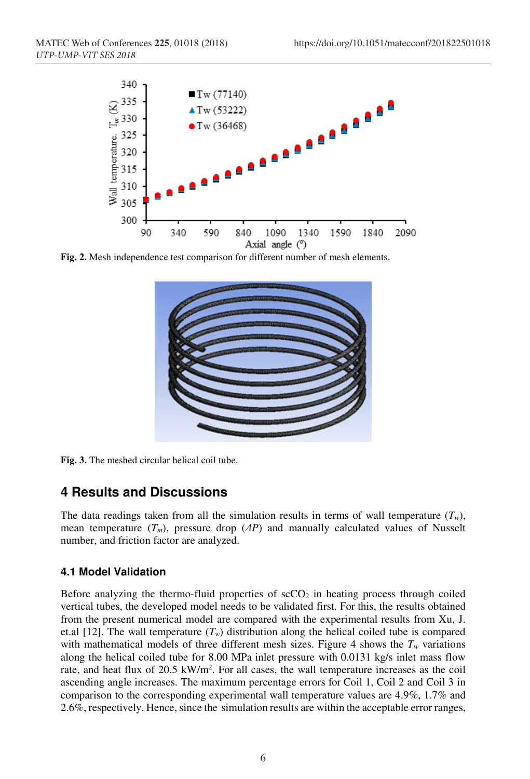

**Fig. 2.** Mesh independence test comparison for different number of mesh elements.



**Fig. 3.** The meshed circular helical coil tube.

# **4 Results and Discussions**

The data readings taken from all the simulation results in terms of wall temperature  $(T_w)$ , mean temperature  $(T_m)$ , pressure drop  $\Delta P$  and manually calculated values of Nusselt number, and friction factor are analyzed.

### **4.1 Model Validation**

Before analyzing the thermo-fluid properties of  $\sec O_2$  in heating process through coiled vertical tubes, the developed model needs to be validated first. For this, the results obtained from the present numerical model are compared with the experimental results from Xu, J. et.al [12]. The wall temperature  $(T_w)$  distribution along the helical coiled tube is compared with mathematical models of three different mesh sizes. Figure 4 shows the  $T_w$  variations along the helical coiled tube for 8.00 MPa inlet pressure with 0.0131 kg/s inlet mass flow rate, and heat flux of  $20.5 \text{ kW/m}^2$ . For all cases, the wall temperature increases as the coil ascending angle increases. The maximum percentage errors for Coil 1, Coil 2 and Coil 3 in comparison to the corresponding experimental wall temperature values are 4.9%, 1.7% and 2.6%, respectively. Hence, since the simulation results are within the acceptable error ranges,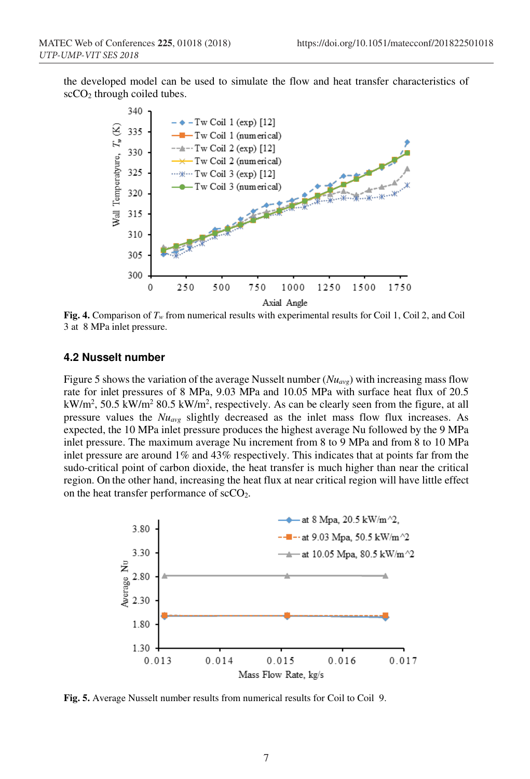the developed model can be used to simulate the flow and heat transfer characteristics of  $\sec O_2$  through coiled tubes.



**Fig. 4.** Comparison of *Tw* from numerical results with experimental results for Coil 1, Coil 2, and Coil 3 at 8 MPa inlet pressure.

#### **4.2 Nusselt number**

Figure 5 shows the variation of the average Nusselt number  $(Nu_{avg})$  with increasing mass flow rate for inlet pressures of 8 MPa, 9.03 MPa and 10.05 MPa with surface heat flux of 20.5  $kW/m^2$ , 50.5 kW/m<sup>2</sup> 80.5 kW/m<sup>2</sup>, respectively. As can be clearly seen from the figure, at all pressure values the *Nuavg* slightly decreased as the inlet mass flow flux increases. As expected, the 10 MPa inlet pressure produces the highest average Nu followed by the 9 MPa inlet pressure. The maximum average Nu increment from 8 to 9 MPa and from 8 to 10 MPa inlet pressure are around 1% and 43% respectively. This indicates that at points far from the sudo-critical point of carbon dioxide, the heat transfer is much higher than near the critical region. On the other hand, increasing the heat flux at near critical region will have little effect on the heat transfer performance of scCO2.



**Fig. 5.** Average Nusselt number results from numerical results for Coil to Coil 9.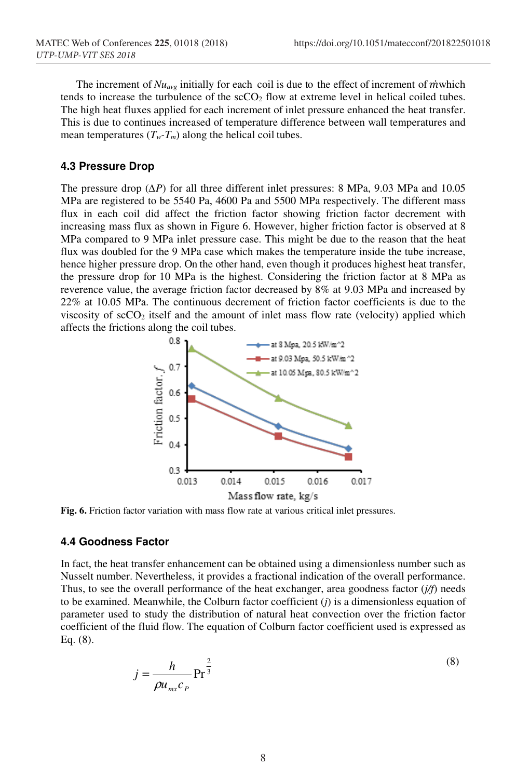The increment of  $Nu_{avg}$  initially for each coil is due to the effect of increment of *m*which tends to increase the turbulence of the  $\secO_2$  flow at extreme level in helical coiled tubes. The high heat fluxes applied for each increment of inlet pressure enhanced the heat transfer. This is due to continues increased of temperature difference between wall temperatures and mean temperatures  $(T_w - T_m)$  along the helical coil tubes.

#### **4.3 Pressure Drop**

The pressure drop (*∆P*) for all three different inlet pressures: 8 MPa, 9.03 MPa and 10.05 MPa are registered to be 5540 Pa, 4600 Pa and 5500 MPa respectively. The different mass flux in each coil did affect the friction factor showing friction factor decrement with increasing mass flux as shown in Figure 6. However, higher friction factor is observed at 8 MPa compared to 9 MPa inlet pressure case. This might be due to the reason that the heat flux was doubled for the 9 MPa case which makes the temperature inside the tube increase, hence higher pressure drop. On the other hand, even though it produces highest heat transfer, the pressure drop for 10 MPa is the highest. Considering the friction factor at 8 MPa as reverence value, the average friction factor decreased by 8% at 9.03 MPa and increased by 22% at 10.05 MPa. The continuous decrement of friction factor coefficients is due to the viscosity of  $scCO<sub>2</sub>$  itself and the amount of inlet mass flow rate (velocity) applied which affects the frictions along the coil tubes.



**Fig. 6.** Friction factor variation with mass flow rate at various critical inlet pressures.

#### **4.4 Goodness Factor**

In fact, the heat transfer enhancement can be obtained using a dimensionless number such as Nusselt number. Nevertheless, it provides a fractional indication of the overall performance. Thus, to see the overall performance of the heat exchanger, area goodness factor (*j/f*) needs to be examined. Meanwhile, the Colburn factor coefficient (*j*) is a dimensionless equation of parameter used to study the distribution of natural heat convection over the friction factor coefficient of the fluid flow. The equation of Colburn factor coefficient used is expressed as Eq. (8).

$$
j = \frac{h}{\rho u_{mx} c_p} \operatorname{Pr}^{\frac{2}{3}}
$$
 (8)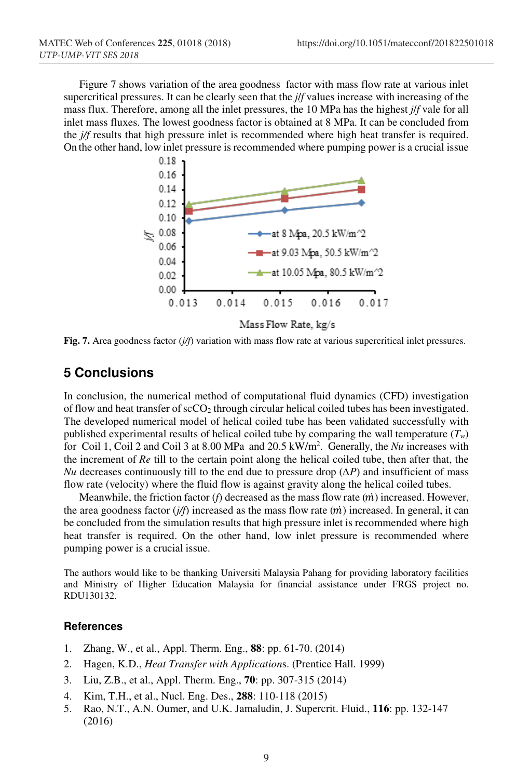Figure 7 shows variation of the area goodness factor with mass flow rate at various inlet supercritical pressures. It can be clearly seen that the *j*/*f* values increase with increasing of the mass flux. Therefore, among all the inlet pressures, the 10 MPa has the highest *j*/*f* vale for all inlet mass fluxes. The lowest goodness factor is obtained at 8 MPa. It can be concluded from the *j/f* results that high pressure inlet is recommended where high heat transfer is required. On the other hand, low inlet pressure is recommended where pumping power is a crucial issue



Mass Flow Rate, kg/s

**Fig. 7.** Area goodness factor (*j/f*) variation with mass flow rate at various supercritical inlet pressures.

# **5 Conclusions**

In conclusion, the numerical method of computational fluid dynamics (CFD) investigation of flow and heat transfer of  $\sec 0_2$  through circular helical coiled tubes has been investigated. The developed numerical model of helical coiled tube has been validated successfully with published experimental results of helical coiled tube by comparing the wall temperature (*Tw*) for Coil 1, Coil 2 and Coil 3 at 8.00 MPa and 20.5 kW/m2 . Generally, the *Nu* increases with the increment of *Re* till to the certain point along the helical coiled tube, then after that, the *Nu* decreases continuously till to the end due to pressure drop (*∆P*) and insufficient of mass flow rate (velocity) where the fluid flow is against gravity along the helical coiled tubes.

Meanwhile, the friction factor  $(f)$  decreased as the mass flow rate  $(m)$  increased. However, the area goodness factor  $(j/f)$  increased as the mass flow rate  $(m)$  increased. In general, it can be concluded from the simulation results that high pressure inlet is recommended where high heat transfer is required. On the other hand, low inlet pressure is recommended where pumping power is a crucial issue.

The authors would like to be thanking Universiti Malaysia Pahang for providing laboratory facilities and Ministry of Higher Education Malaysia for financial assistance under FRGS project no. RDU130132.

#### **References**

- 1. Zhang, W., et al., Appl. Therm. Eng., **88**: pp. 61-70. (2014)
- 2. Hagen, K.D., *Heat Transfer with Application*s. (Prentice Hall. 1999)
- 3. Liu, Z.B., et al., Appl. Therm. Eng., **70**: pp. 307-315 (2014)
- 4. Kim, T.H., et al., Nucl. Eng. Des., **288**: 110-118 (2015)
- 5. Rao, N.T., A.N. Oumer, and U.K. Jamaludin, J. Supercrit. Fluid., **116**: pp. 132-147 (2016)